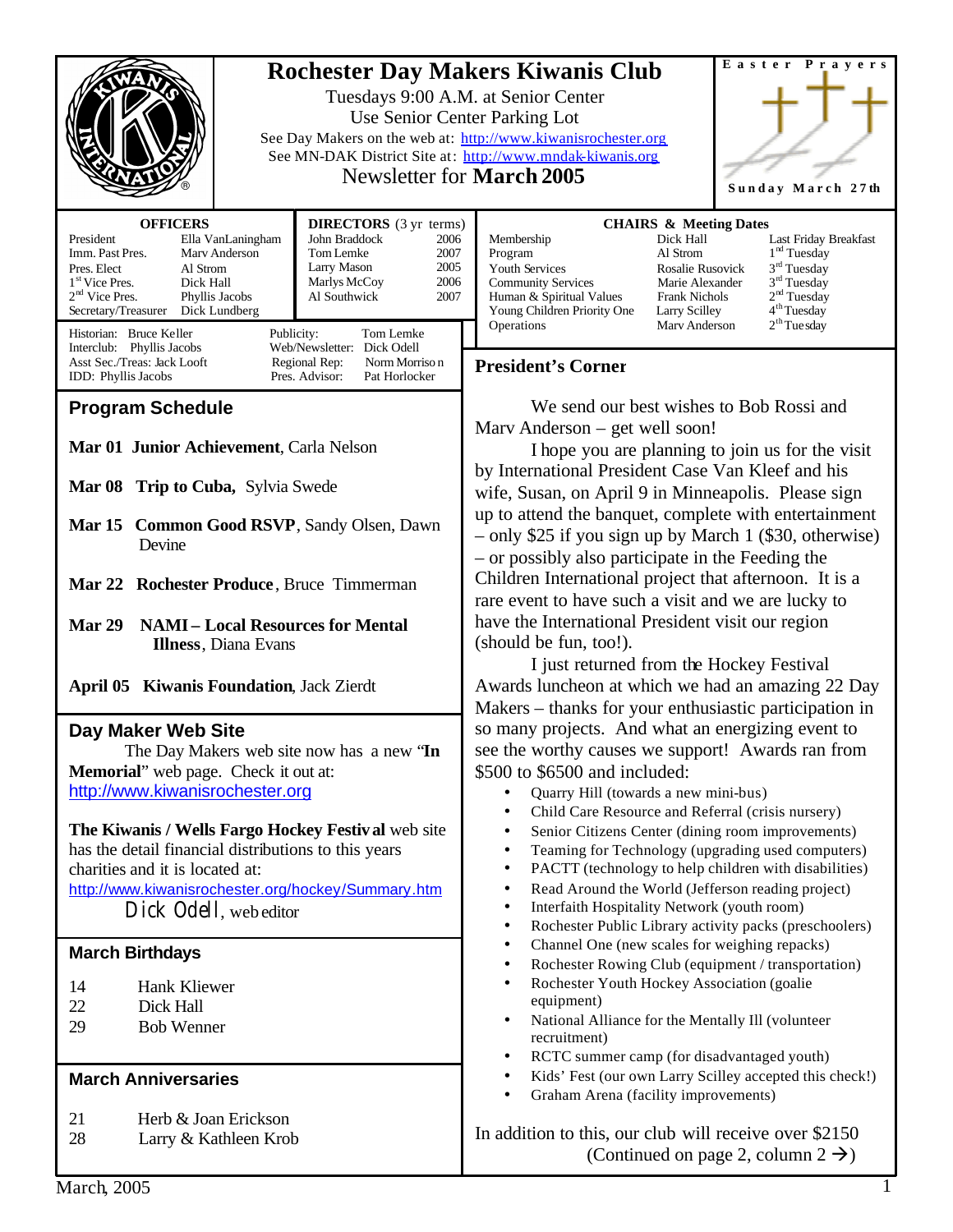|                                                                                                                                                                                                                                                                                                                                                                                                                                                                                                                                                                                                                                                                                                                                    | Easter Prayers<br><b>Rochester Day Makers Kiwanis Club</b><br>Tuesdays 9:00 A.M. at Senior Center<br>Use Senior Center Parking Lot<br>See Day Makers on the web at: http://www.kiwanisrochester.org<br>See MN-DAK District Site at: http://www.mndak-kiwanis.org<br>Newsletter for <b>March</b> 2005<br>Sunday March 27th |                                                                                                                                                                                                                                                                                                                                                                                                                                                                                                                                                                                                                                                                                                                                                                                                                                                                                                                                                                                                                                                                                                                                                                                                                                                                                                                                                                                                                                                                                                                                                                          |  |
|------------------------------------------------------------------------------------------------------------------------------------------------------------------------------------------------------------------------------------------------------------------------------------------------------------------------------------------------------------------------------------------------------------------------------------------------------------------------------------------------------------------------------------------------------------------------------------------------------------------------------------------------------------------------------------------------------------------------------------|---------------------------------------------------------------------------------------------------------------------------------------------------------------------------------------------------------------------------------------------------------------------------------------------------------------------------|--------------------------------------------------------------------------------------------------------------------------------------------------------------------------------------------------------------------------------------------------------------------------------------------------------------------------------------------------------------------------------------------------------------------------------------------------------------------------------------------------------------------------------------------------------------------------------------------------------------------------------------------------------------------------------------------------------------------------------------------------------------------------------------------------------------------------------------------------------------------------------------------------------------------------------------------------------------------------------------------------------------------------------------------------------------------------------------------------------------------------------------------------------------------------------------------------------------------------------------------------------------------------------------------------------------------------------------------------------------------------------------------------------------------------------------------------------------------------------------------------------------------------------------------------------------------------|--|
| <b>OFFICERS</b><br>President<br>Ella VanLaningham<br>Imm. Past Pres.<br>Mary Anderson<br>Pres. Elect<br>Al Strom<br>1 <sup>st</sup> Vice Pres.<br>Dick Hall<br>$2nd$ Vice Pres.<br>Phyllis Jacobs<br>Secretary/Treasurer<br>Dick Lundberg<br>Historian: Bruce Keller                                                                                                                                                                                                                                                                                                                                                                                                                                                               | <b>DIRECTORS</b> (3 yr terms)<br>John Braddock<br>2006<br>Tom Lemke<br>2007<br>2005<br>Larry Mason<br>2006<br>Marlys McCoy<br>Al Southwick<br>2007<br>Publicity:<br>Tom Lemke                                                                                                                                             | <b>CHAIRS &amp; Meeting Dates</b><br>Membership<br>Dick Hall<br>Last Friday Breakfast<br>1 <sup>nd</sup> Tuesday<br>Program<br>Al Strom<br>$3rd$ Tuesday<br>Youth Services<br>Rosalie Rusovick<br>$3rd$ Tuesday<br><b>Community Services</b><br>Marie Alexander<br>2 <sup>nd</sup> Tuesday<br>Human & Spiritual Values<br><b>Frank Nichols</b><br>4 <sup>th</sup> Tuesday<br>Young Children Priority One<br>Larry Scilley<br>$2th$ Tue sday<br>Operations<br>Mary Anderson                                                                                                                                                                                                                                                                                                                                                                                                                                                                                                                                                                                                                                                                                                                                                                                                                                                                                                                                                                                                                                                                                               |  |
| Web/Newsletter: Dick Odell<br>Interclub: Phyllis Jacobs<br>Asst Sec./Treas: Jack Looft<br>Regional Rep:<br>Norm Morriso n<br>Pres. Advisor:<br>IDD: Phyllis Jacobs<br>Pat Horlocker                                                                                                                                                                                                                                                                                                                                                                                                                                                                                                                                                |                                                                                                                                                                                                                                                                                                                           | <b>President's Corner</b>                                                                                                                                                                                                                                                                                                                                                                                                                                                                                                                                                                                                                                                                                                                                                                                                                                                                                                                                                                                                                                                                                                                                                                                                                                                                                                                                                                                                                                                                                                                                                |  |
| <b>Program Schedule</b><br>Mar 01 Junior Achievement, Carla Nelson<br>Mar 08 Trip to Cuba, Sylvia Swede<br>Mar 15 Common Good RSVP, Sandy Olsen, Dawn<br>Devine<br>Mar 22 Rochester Produce, Bruce Timmerman<br><b>NAMI-Local Resources for Mental</b><br>Mar 29<br><b>Illness</b> , Diana Evans<br><b>April 05 Kiwanis Foundation, Jack Zierdt</b><br>Day Maker Web Site<br>The Day Makers web site now has a new 'In<br>Memorial" web page. Check it out at:<br>http://www.kiwanisrochester.org<br>The Kiwanis / Wells Fargo Hockey Festival web site<br>has the detail financial distributions to this years<br>charities and it is located at:<br>http://www.kiwanisrochester.org/hockey/Summary.htm<br>Dick Odell, web editor |                                                                                                                                                                                                                                                                                                                           | We send our best wishes to Bob Rossi and<br>Marv Anderson – get well soon!<br>I hope you are planning to join us for the visit<br>by International President Case Van Kleef and his<br>wife, Susan, on April 9 in Minneapolis. Please sign<br>up to attend the banquet, complete with entertainment<br>- only \$25 if you sign up by March 1 (\$30, otherwise)<br>- or possibly also participate in the Feeding the<br>Children International project that afternoon. It is a<br>rare event to have such a visit and we are lucky to<br>have the International President visit our region<br>(should be fun, too!).<br>I just returned from the Hockey Festival<br>Awards luncheon at which we had an amazing 22 Day<br>Makers – thanks for your enthusiastic participation in<br>so many projects. And what an energizing event to<br>see the worthy causes we support! Awards ran from<br>\$500 to \$6500 and included:<br>Quarry Hill (towards a new mini-bus)<br>$\bullet$<br>Child Care Resource and Referral (crisis nursery)<br>$\bullet$<br>Senior Citizens Center (dining room improvements)<br>$\bullet$<br>Teaming for Technology (upgrading used computers)<br>$\bullet$<br>PACTT (technology to help children with disabilities)<br>$\bullet$<br>Read Around the World (Jefferson reading project)<br>٠<br>Interfaith Hospitality Network (youth room)<br>$\bullet$<br>Rochester Public Library activity packs (preschoolers)<br>٠<br>Channel One (new scales for weighing repacks)<br>٠<br>Rochester Rowing Club (equipment / transportation)<br>$\bullet$ |  |
| <b>March Birthdays</b>                                                                                                                                                                                                                                                                                                                                                                                                                                                                                                                                                                                                                                                                                                             |                                                                                                                                                                                                                                                                                                                           |                                                                                                                                                                                                                                                                                                                                                                                                                                                                                                                                                                                                                                                                                                                                                                                                                                                                                                                                                                                                                                                                                                                                                                                                                                                                                                                                                                                                                                                                                                                                                                          |  |
| Hank Kliewer<br>14<br>22<br>Dick Hall<br><b>Bob Wenner</b><br>29                                                                                                                                                                                                                                                                                                                                                                                                                                                                                                                                                                                                                                                                   |                                                                                                                                                                                                                                                                                                                           | Rochester Youth Hockey Association (goalie<br>$\bullet$<br>equipment)<br>National Alliance for the Mentally Ill (volunteer<br>٠<br>recruitment)<br>RCTC summer camp (for disadvantaged youth)<br>٠                                                                                                                                                                                                                                                                                                                                                                                                                                                                                                                                                                                                                                                                                                                                                                                                                                                                                                                                                                                                                                                                                                                                                                                                                                                                                                                                                                       |  |
| <b>March Anniversaries</b>                                                                                                                                                                                                                                                                                                                                                                                                                                                                                                                                                                                                                                                                                                         |                                                                                                                                                                                                                                                                                                                           | Kids' Fest (our own Larry Scilley accepted this check!)<br>٠<br>Graham Arena (facility improvements)<br>$\bullet$                                                                                                                                                                                                                                                                                                                                                                                                                                                                                                                                                                                                                                                                                                                                                                                                                                                                                                                                                                                                                                                                                                                                                                                                                                                                                                                                                                                                                                                        |  |
| 21<br>Herb & Joan Erickson<br>28<br>Larry & Kathleen Krob                                                                                                                                                                                                                                                                                                                                                                                                                                                                                                                                                                                                                                                                          |                                                                                                                                                                                                                                                                                                                           | In addition to this, our club will receive over \$2150<br>(Continued on page 2, column $2 \rightarrow$ )                                                                                                                                                                                                                                                                                                                                                                                                                                                                                                                                                                                                                                                                                                                                                                                                                                                                                                                                                                                                                                                                                                                                                                                                                                                                                                                                                                                                                                                                 |  |
| <b>March</b> , 2005                                                                                                                                                                                                                                                                                                                                                                                                                                                                                                                                                                                                                                                                                                                |                                                                                                                                                                                                                                                                                                                           | 1                                                                                                                                                                                                                                                                                                                                                                                                                                                                                                                                                                                                                                                                                                                                                                                                                                                                                                                                                                                                                                                                                                                                                                                                                                                                                                                                                                                                                                                                                                                                                                        |  |